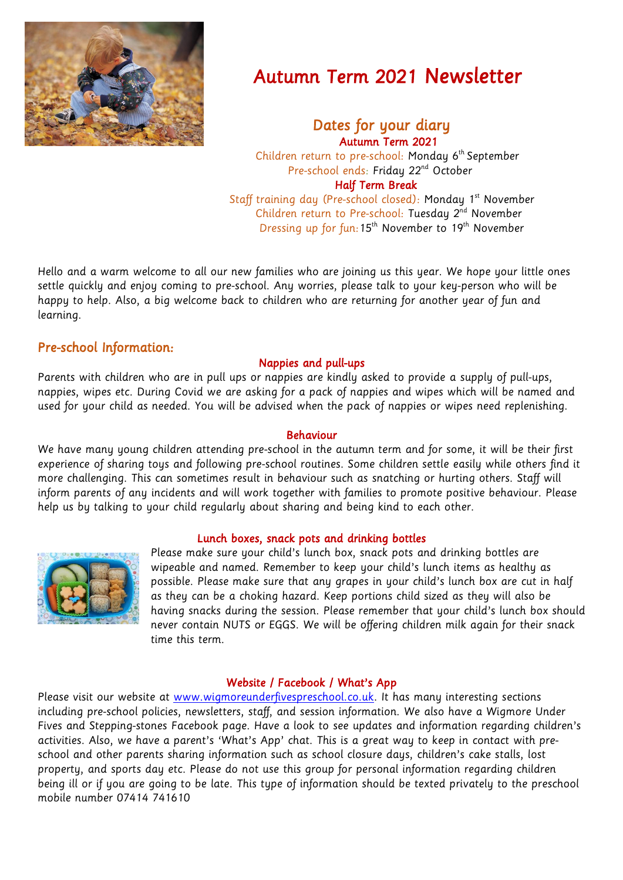

# Autumn Term 2021 Newsletter

## Dates for your diary Autumn Term 2021

 Children return to pre-school: Monday 6 th September Pre-school ends: Friday 22<sup>nd</sup> October Half Term Break Staff training day (Pre-school closed): Monday 1 st November Children return to Pre-school: Tuesday 2<sup>nd</sup> November

Dressing up for fun:15<sup>th</sup> November to 19<sup>th</sup> November

Hello and a warm welcome to all our new families who are joining us this year. We hope your little ones settle quickly and enjoy coming to pre-school. Any worries, please talk to your key-person who will be happy to help. Also, a big welcome back to children who are returning for another year of fun and learning.

# Pre-school Information:

### Nappies and pull-ups

Parents with children who are in pull ups or nappies are kindly asked to provide a supply of pull-ups, nappies, wipes etc. During Covid we are asking for a pack of nappies and wipes which will be named and used for your child as needed. You will be advised when the pack of nappies or wipes need replenishing.

#### Behaviour

We have many young children attending pre-school in the autumn term and for some, it will be their first experience of sharing toys and following pre-school routines. Some children settle easily while others find it more challenging. This can sometimes result in behaviour such as snatching or hurting others. Staff will inform parents of any incidents and will work together with families to promote positive behaviour. Please help us by talking to your child regularly about sharing and being kind to each other.

#### Lunch boxes, snack pots and drinking bottles



Please make sure your child's lunch box, snack pots and drinking bottles are wipeable and named. Remember to keep your child's lunch items as healthy as possible. Please make sure that any grapes in your child's lunch box are cut in half as they can be a choking hazard. Keep portions child sized as they will also be having snacks during the session. Please remember that your child's lunch box should never contain NUTS or EGGS. We will be offering children milk again for their snack time this term.

#### Website / Facebook / What's App

Please visit our website at [www.wigmoreunderfivespreschool.co.uk.](http://www.wigmoreunderfivespreschool.co.uk/) It has many interesting sections including pre-school policies, newsletters, staff, and session information. We also have a Wigmore Under Fives and Stepping-stones Facebook page. Have a look to see updates and information regarding children's activities. Also, we have a parent's 'What's App' chat. This is a great way to keep in contact with preschool and other parents sharing information such as school closure days, children's cake stalls, lost property, and sports day etc. Please do not use this group for personal information regarding children being ill or if you are going to be late. This type of information should be texted privately to the preschool mobile number 07414 741610